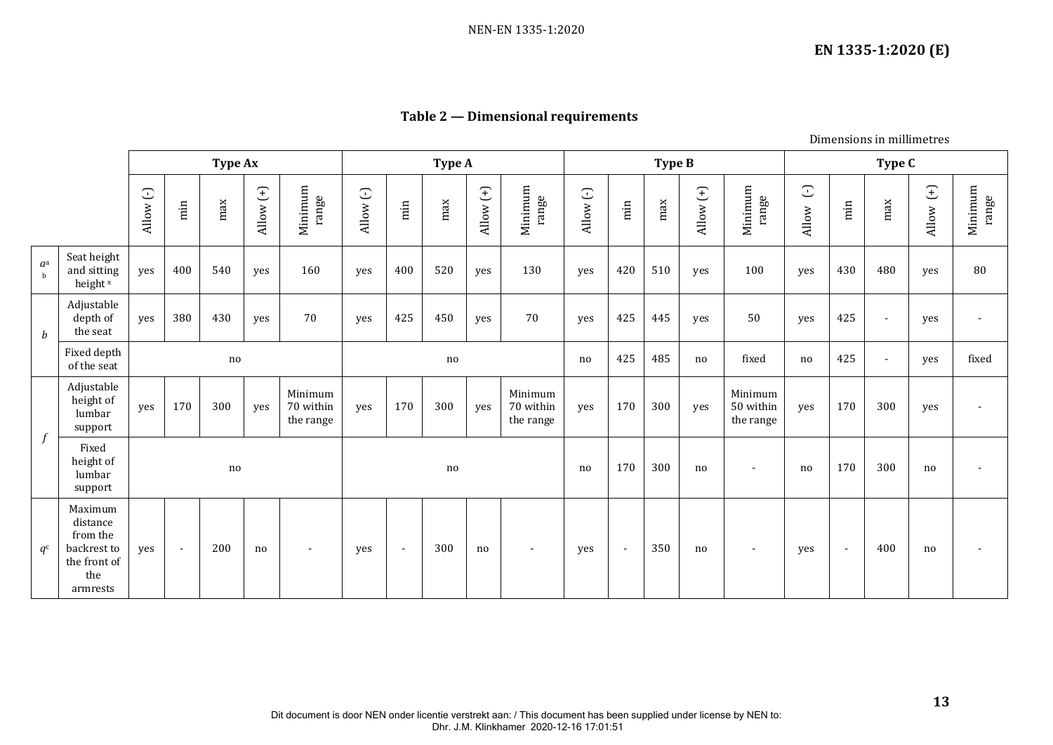## **Table 2 — Dimensional requirements**

Dimensions in millimetres

|                      |                                                                                   |                       |                | Type Ax |             |                                   | Type A               |                          |     |             |                                   |           |                          | Type B |             |                                   | Type C              |        |                |       |                  |  |
|----------------------|-----------------------------------------------------------------------------------|-----------------------|----------------|---------|-------------|-----------------------------------|----------------------|--------------------------|-----|-------------|-----------------------------------|-----------|--------------------------|--------|-------------|-----------------------------------|---------------------|--------|----------------|-------|------------------|--|
|                      |                                                                                   | $\mathbb{C}$<br>Allow | $\min$         | max     | Allow $(+)$ | Minimum<br>range                  | $\mathbb C$<br>Allow | $\min$                   | max | Allow $(+)$ | Minimum<br>range                  | Allow (-) | $\min$                   | max    | Allow $(+)$ | Minimum<br>range                  | $\bigcirc$<br>Allow | $\min$ | max            | Allow | Minimum<br>range |  |
| $a^a$<br>$\mathbf b$ | Seat height<br>and sitting<br>height <sup>x</sup>                                 | yes                   | 400            | 540     | yes         | 160                               | yes                  | 400                      | 520 | yes         | 130                               | yes       | 420                      | 510    | yes         | 100                               | yes                 | 430    | 480            | yes   | 80               |  |
| $\boldsymbol{b}$     | Adjustable<br>depth of<br>the seat                                                | yes                   | 380            | 430     | yes         | 70                                | yes                  | 425                      | 450 | yes         | 70                                | yes       | 425                      | 445    | yes         | 50                                | yes                 | 425    | $\blacksquare$ | yes   |                  |  |
|                      | Fixed depth<br>of the seat                                                        |                       |                | no      |             |                                   | no                   |                          |     |             |                                   | no        | 425                      | 485    | no          | fixed                             | no                  | 425    | $\blacksquare$ | yes   | fixed            |  |
| $\int$               | Adjustable<br>height of<br>lumbar<br>support                                      | yes                   | 170            | 300     | yes         | Minimum<br>70 within<br>the range | yes                  | 170                      | 300 | yes         | Minimum<br>70 within<br>the range | yes       | 170                      | 300    | yes         | Minimum<br>50 within<br>the range | yes                 | 170    | 300            | yes   |                  |  |
|                      | Fixed<br>height of<br>lumbar<br>support                                           |                       |                | no      |             |                                   | no                   |                          |     |             |                                   | no        | 170                      | 300    | no          | $\blacksquare$                    | no                  | 170    | 300            | no    |                  |  |
| $q^{\rm c}$          | Maximum<br>distance<br>from the<br>backrest to<br>the front of<br>the<br>armrests | yes                   | $\blacksquare$ | 200     | no          | $\overline{\phantom{a}}$          | yes                  | $\overline{\phantom{a}}$ | 300 | no          | $\sim$                            | yes       | $\overline{\phantom{a}}$ | 350    | no          | $\overline{\phantom{a}}$          | yes                 | $\sim$ | 400            | no    |                  |  |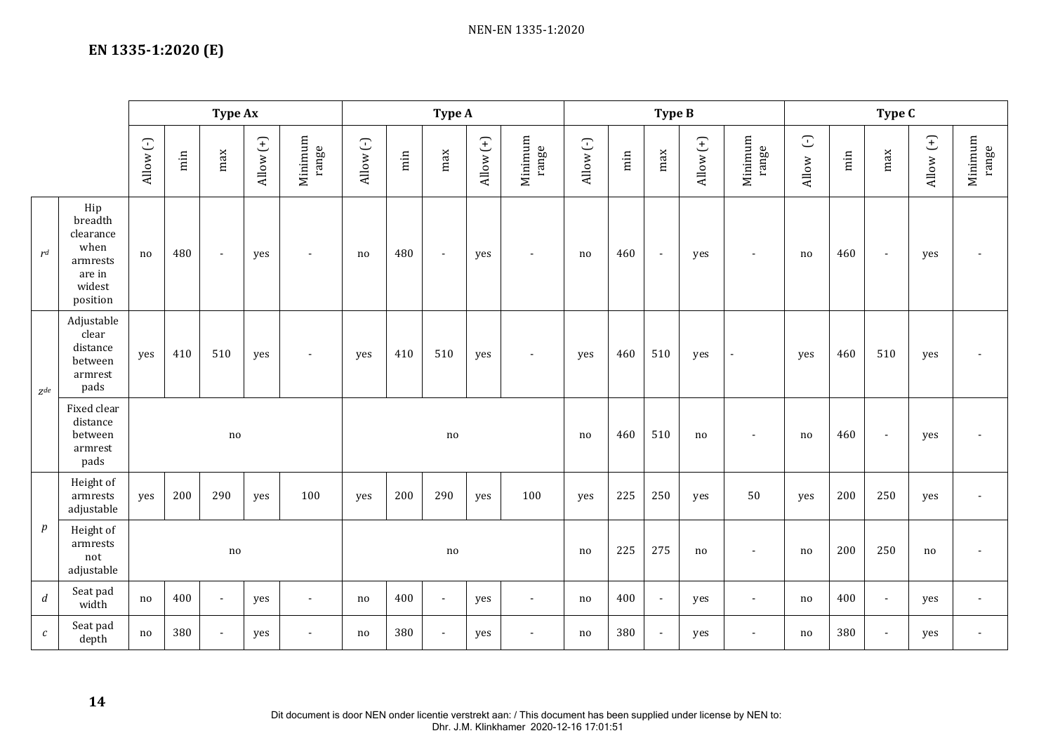## **EN 1335-1:2020 (E)**

|                   |                                                                                 |           |        | Type Ax                    |             |                  | Type A    |        |        |             |                  |           |        | Type B         |             |                          | Type C          |        |                          |             |                  |
|-------------------|---------------------------------------------------------------------------------|-----------|--------|----------------------------|-------------|------------------|-----------|--------|--------|-------------|------------------|-----------|--------|----------------|-------------|--------------------------|-----------------|--------|--------------------------|-------------|------------------|
|                   |                                                                                 | Allow (-) | $\min$ | max                        | Allow $(+)$ | Minimum<br>range | Allow (-) | $\min$ | max    | Allow $(+)$ | Minimum<br>range | Allow (-) | $\min$ | max            | Allow $(+)$ | Minimum<br>range         | $\cup$<br>Allow | $\min$ | max                      | Allow $(+)$ | Minimum<br>range |
| r <sup>d</sup>    | Hip<br>breadth<br>clearance<br>when<br>armrests<br>are in<br>widest<br>position | no        | 480    | $\sim$                     | yes         | $\blacksquare$   | no        | 480    | $\sim$ | yes         | $\sim$           | no        | 460    | $\sim$         | yes         | $\sim$                   | no              | 460    | $\blacksquare$           | yes         | $\blacksquare$   |
| $\mathbb{Z}^{de}$ | Adjustable<br>clear<br>distance<br>between<br>armrest<br>pads                   | yes       | 410    | 510                        | yes         | $\blacksquare$   | yes       | 410    | 510    | yes         | $\sim$           | yes       | 460    | 510            | yes         | $\overline{\phantom{a}}$ | yes             | 460    | 510                      | yes         | $\blacksquare$   |
|                   | Fixed clear<br>distance<br>between<br>$\;{\rm armrest}$<br>pads                 | no        |        |                            |             |                  |           | no     |        |             |                  |           |        | 510            | no          |                          | no              | 460    | $\overline{\phantom{a}}$ | yes         | $\blacksquare$   |
|                   | Height of<br>armrests<br>adjustable                                             | yes       | 200    | 290                        | yes         | 100              | yes       | 200    | 290    | yes         | 100              | yes       | 225    | 250            | yes         | 50                       | yes             | 200    | 250                      | yes         | $\blacksquare$   |
| $\boldsymbol{p}$  | Height of<br>armrests<br>not<br>adjustable                                      |           |        | $\mathop{\rm no}\nolimits$ |             |                  |           |        | no     | 225         | 275              | no        |        | no             | 200         | 250                      | no              |        |                          |             |                  |
| $\boldsymbol{d}$  | Seat pad<br>width                                                               | no        | 400    | $\sim$                     | yes         | $\overline{a}$   | no        | 400    | $\sim$ | yes         | $\blacksquare$   | no        | 400    | $\mathbb{Z}^2$ | yes         | $\sim$                   | no              | 400    | $\blacksquare$           | yes         | $\blacksquare$   |
| $\boldsymbol{c}$  | Seat pad<br>depth                                                               | no        | 380    | $\overline{a}$             | yes         |                  | no        | 380    | $\sim$ | yes         | $\blacksquare$   | no        | 380    | $\blacksquare$ | yes         |                          | no              | 380    | $\sim$                   | yes         | $\sim$           |